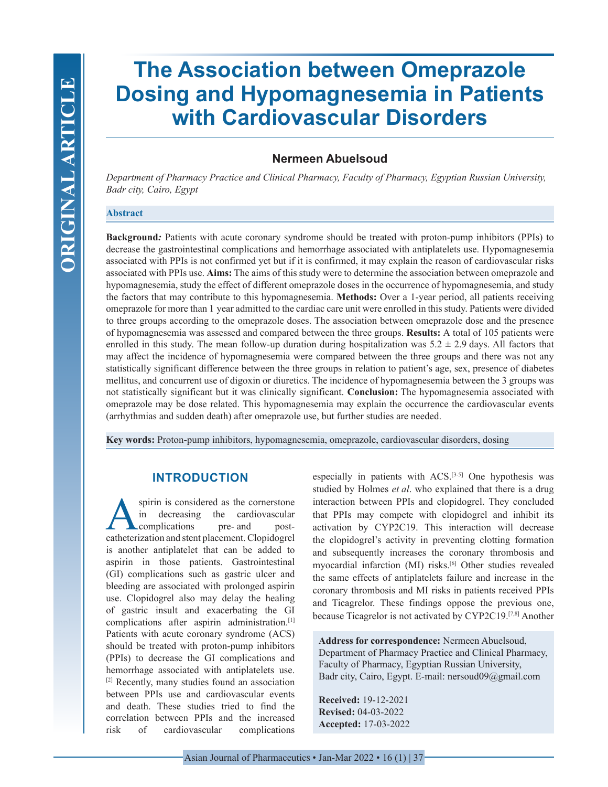# **The Association between Omeprazole Dosing and Hypomagnesemia in Patients with Cardiovascular Disorders**

# **Nermeen Abuelsoud**

*Department of Pharmacy Practice and Clinical Pharmacy, Faculty of Pharmacy, Egyptian Russian University, Badr city, Cairo, Egypt*

#### **Abstract**

**Background***:* Patients with acute coronary syndrome should be treated with proton-pump inhibitors (PPIs) to decrease the gastrointestinal complications and hemorrhage associated with antiplatelets use. Hypomagnesemia associated with PPIs is not confirmed yet but if it is confirmed, it may explain the reason of cardiovascular risks associated with PPIs use. **Aims:** The aims of this study were to determine the association between omeprazole and hypomagnesemia, study the effect of different omeprazole doses in the occurrence of hypomagnesemia, and study the factors that may contribute to this hypomagnesemia. **Methods:** Over a 1-year period, all patients receiving omeprazole for more than 1 year admitted to the cardiac care unit were enrolled in this study. Patients were divided to three groups according to the omeprazole doses. The association between omeprazole dose and the presence of hypomagnesemia was assessed and compared between the three groups. **Results:** A total of 105 patients were enrolled in this study. The mean follow-up duration during hospitalization was  $5.2 \pm 2.9$  days. All factors that may affect the incidence of hypomagnesemia were compared between the three groups and there was not any statistically significant difference between the three groups in relation to patient's age, sex, presence of diabetes mellitus, and concurrent use of digoxin or diuretics. The incidence of hypomagnesemia between the 3 groups was not statistically significant but it was clinically significant. **Conclusion:** The hypomagnesemia associated with omeprazole may be dose related. This hypomagnesemia may explain the occurrence the cardiovascular events (arrhythmias and sudden death) after omeprazole use, but further studies are needed.

**Key words:** Proton-pump inhibitors, hypomagnesemia, omeprazole, cardiovascular disorders, dosing

# **INTRODUCTION**

spirin is considered as the cornerstone<br>in decreasing the cardiovascular<br>complications pre- and postin decreasing the cardiovascular complications catheterization and stent placement. Clopidogrel is another antiplatelet that can be added to aspirin in those patients. Gastrointestinal (GI) complications such as gastric ulcer and bleeding are associated with prolonged aspirin use. Clopidogrel also may delay the healing of gastric insult and exacerbating the GI complications after aspirin administration.[1] Patients with acute coronary syndrome (ACS) should be treated with proton-pump inhibitors (PPIs) to decrease the GI complications and hemorrhage associated with antiplatelets use. [2] Recently, many studies found an association between PPIs use and cardiovascular events and death. These studies tried to find the correlation between PPIs and the increased risk of cardiovascular complications

especially in patients with ACS.[3-5] One hypothesis was studied by Holmes *et al*. who explained that there is a drug interaction between PPIs and clopidogrel. They concluded that PPIs may compete with clopidogrel and inhibit its activation by CYP2C19. This interaction will decrease the clopidogrel's activity in preventing clotting formation and subsequently increases the coronary thrombosis and myocardial infarction (MI) risks.<sup>[6]</sup> Other studies revealed the same effects of antiplatelets failure and increase in the coronary thrombosis and MI risks in patients received PPIs and Ticagrelor. These findings oppose the previous one, because Ticagrelor is not activated by CYP2C19.[7,8] Another

**Address for correspondence:** Nermeen Abuelsoud, Department of Pharmacy Practice and Clinical Pharmacy, Faculty of Pharmacy, Egyptian Russian University, Badr city, Cairo, Egypt. E-mail: nersoud09@gmail.com

**Received:** 19-12-2021 **Revised:** 04-03-2022 **Accepted:** 17-03-2022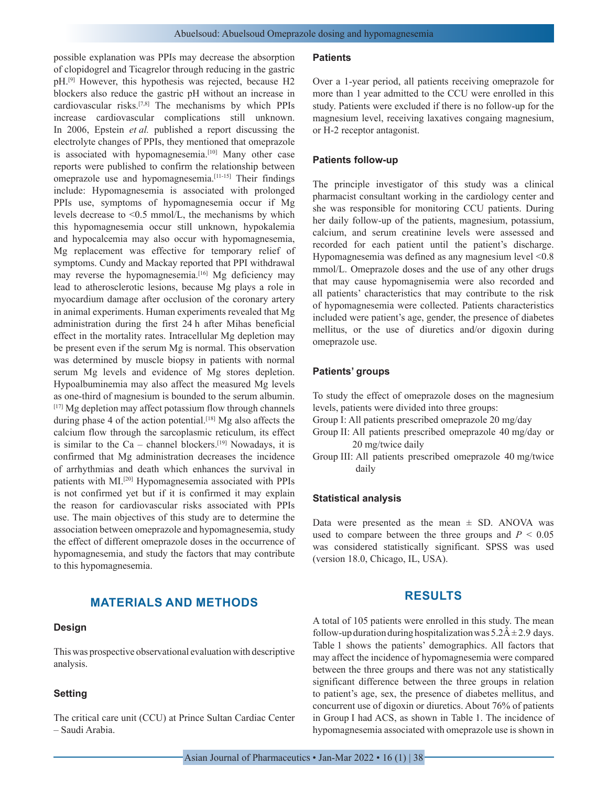possible explanation was PPIs may decrease the absorption of clopidogrel and Ticagrelor through reducing in the gastric pH.[9] However, this hypothesis was rejected, because H2 blockers also reduce the gastric pH without an increase in cardiovascular risks.[7,8] The mechanisms by which PPIs increase cardiovascular complications still unknown. In 2006, Epstein *et al.* published a report discussing the electrolyte changes of PPIs, they mentioned that omeprazole is associated with hypomagnesemia.<sup>[10]</sup> Many other case reports were published to confirm the relationship between omeprazole use and hypomagnesemia.[11-15] Their findings include: Hypomagnesemia is associated with prolonged PPIs use, symptoms of hypomagnesemia occur if Mg levels decrease to <0.5 mmol/L, the mechanisms by which this hypomagnesemia occur still unknown, hypokalemia and hypocalcemia may also occur with hypomagnesemia, Mg replacement was effective for temporary relief of symptoms. Cundy and Mackay reported that PPI withdrawal may reverse the hypomagnesemia.<sup>[16]</sup> Mg deficiency may lead to atherosclerotic lesions, because Mg plays a role in myocardium damage after occlusion of the coronary artery in animal experiments. Human experiments revealed that Mg administration during the first 24 h after Mihas beneficial effect in the mortality rates. Intracellular Mg depletion may be present even if the serum Mg is normal. This observation was determined by muscle biopsy in patients with normal serum Mg levels and evidence of Mg stores depletion. Hypoalbuminemia may also affect the measured Mg levels as one-third of magnesium is bounded to the serum albumin. [17] Mg depletion may affect potassium flow through channels during phase 4 of the action potential.<sup>[18]</sup> Mg also affects the calcium flow through the sarcoplasmic reticulum, its effect is similar to the Ca – channel blockers.<sup>[19]</sup> Nowadays, it is confirmed that Mg administration decreases the incidence of arrhythmias and death which enhances the survival in patients with MI.<sup>[20]</sup> Hypomagnesemia associated with PPIs is not confirmed yet but if it is confirmed it may explain the reason for cardiovascular risks associated with PPIs use. The main objectives of this study are to determine the association between omeprazole and hypomagnesemia, study the effect of different omeprazole doses in the occurrence of hypomagnesemia, and study the factors that may contribute to this hypomagnesemia.

# **MATERIALS AND METHODS**

#### **Design**

This was prospective observational evaluation with descriptive analysis.

#### **Setting**

The critical care unit (CCU) at Prince Sultan Cardiac Center – Saudi Arabia.

#### **Patients**

Over a 1-year period, all patients receiving omeprazole for more than 1 year admitted to the CCU were enrolled in this study. Patients were excluded if there is no follow-up for the magnesium level, receiving laxatives congaing magnesium, or H-2 receptor antagonist.

#### **Patients follow-up**

The principle investigator of this study was a clinical pharmacist consultant working in the cardiology center and she was responsible for monitoring CCU patients. During her daily follow-up of the patients, magnesium, potassium, calcium, and serum creatinine levels were assessed and recorded for each patient until the patient's discharge. Hypomagnesemia was defined as any magnesium level <0.8 mmol/L. Omeprazole doses and the use of any other drugs that may cause hypomagnisemia were also recorded and all patients' characteristics that may contribute to the risk of hypomagnesemia were collected. Patients characteristics included were patient's age, gender, the presence of diabetes mellitus, or the use of diuretics and/or digoxin during omeprazole use.

## **Patients' groups**

To study the effect of omeprazole doses on the magnesium levels, patients were divided into three groups:

Group I: All patients prescribed omeprazole 20 mg/day

Group II: All patients prescribed omeprazole 40 mg/day or 20 mg/twice daily

Group III: All patients prescribed omeprazole 40 mg/twice daily

#### **Statistical analysis**

Data were presented as the mean  $\pm$  SD. ANOVA was used to compare between the three groups and  $P < 0.05$ was considered statistically significant. SPSS was used (version 18.0, Chicago, IL, USA).

## **RESULTS**

A total of 105 patients were enrolled in this study. The mean follow-up duration during hospitalization was  $5.2\text{\AA} \pm 2.9$  days. Table 1 shows the patients' demographics. All factors that may affect the incidence of hypomagnesemia were compared between the three groups and there was not any statistically significant difference between the three groups in relation to patient's age, sex, the presence of diabetes mellitus, and concurrent use of digoxin or diuretics. About 76% of patients in Group I had ACS, as shown in Table 1. The incidence of hypomagnesemia associated with omeprazole use is shown in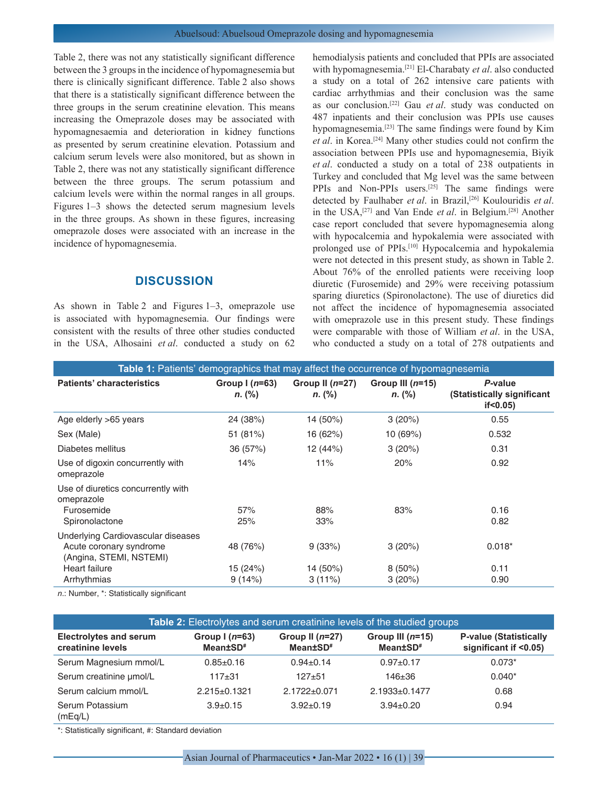Table 2, there was not any statistically significant difference between the 3 groups in the incidence of hypomagnesemia but there is clinically significant difference. Table 2 also shows that there is a statistically significant difference between the three groups in the serum creatinine elevation. This means increasing the Omeprazole doses may be associated with hypomagnesaemia and deterioration in kidney functions as presented by serum creatinine elevation. Potassium and calcium serum levels were also monitored, but as shown in Table 2, there was not any statistically significant difference between the three groups. The serum potassium and calcium levels were within the normal ranges in all groups. Figures 1–3 shows the detected serum magnesium levels in the three groups. As shown in these figures, increasing omeprazole doses were associated with an increase in the incidence of hypomagnesemia.

### **DISCUSSION**

As shown in Table 2 and Figures 1–3, omeprazole use is associated with hypomagnesemia. Our findings were consistent with the results of three other studies conducted in the USA, Alhosaini *et al*. conducted a study on 62 hemodialysis patients and concluded that PPIs are associated with hypomagnesemia.[21] El-Charabaty *et al*. also conducted a study on a total of 262 intensive care patients with cardiac arrhythmias and their conclusion was the same as our conclusion.[22] Gau *et al*. study was conducted on 487 inpatients and their conclusion was PPIs use causes hypomagnesemia.[23] The same findings were found by Kim *et al*. in Korea.[24] Many other studies could not confirm the association between PPIs use and hypomagnesemia, Biyik *et al*. conducted a study on a total of 238 outpatients in Turkey and concluded that Mg level was the same between PPIs and Non-PPIs users.[25] The same findings were detected by Faulhaber *et al*. in Brazil,[26] Koulouridis *et al*. in the USA,[27] and Van Ende *et al*. in Belgium.[28] Another case report concluded that severe hypomagnesemia along with hypocalcemia and hypokalemia were associated with prolonged use of PPIs.[10] Hypocalcemia and hypokalemia were not detected in this present study, as shown in Table 2. About 76% of the enrolled patients were receiving loop diuretic (Furosemide) and 29% were receiving potassium sparing diuretics (Spironolactone). The use of diuretics did not affect the incidence of hypomagnesemia associated with omeprazole use in this present study. These findings were comparable with those of William *et al*. in the USA, who conducted a study on a total of 278 outpatients and

| <b>Table 1:</b> Patients' demographics that may affect the occurrence of hypomagnesemia                                         |                                |                                 |                               |                                                        |  |  |
|---------------------------------------------------------------------------------------------------------------------------------|--------------------------------|---------------------------------|-------------------------------|--------------------------------------------------------|--|--|
| <b>Patients' characteristics</b>                                                                                                | Group $(n=63)$<br>$n.$ (%)     | Group II $(n=27)$<br>$n.$ (%)   | Group III $(n=15)$<br>n. (%)  | P-value<br>(Statistically significant<br>$if < 0.05$ ) |  |  |
| Age elderly >65 years                                                                                                           | 24 (38%)                       | 14 (50%)                        | 3(20%)                        | 0.55                                                   |  |  |
| Sex (Male)                                                                                                                      | 51 (81%)                       | 16 (62%)                        | 10 (69%)                      | 0.532                                                  |  |  |
| Diabetes mellitus                                                                                                               | 36 (57%)                       | 12 (44%)                        | 3(20%)                        | 0.31                                                   |  |  |
| Use of digoxin concurrently with<br>omeprazole                                                                                  | 14%                            | 11%                             | 20%                           | 0.92                                                   |  |  |
| Use of diuretics concurrently with<br>omeprazole<br>Furosemide<br>Spironolactone                                                | 57%<br>25%                     | 88%<br>33%                      | 83%                           | 0.16<br>0.82                                           |  |  |
| Underlying Cardiovascular diseases<br>Acute coronary syndrome<br>(Angina, STEMI, NSTEMI)<br><b>Heart failure</b><br>Arrhythmias | 48 (76%)<br>15 (24%)<br>9(14%) | 9(33%)<br>14 (50%)<br>$3(11\%)$ | 3(20%)<br>$8(50\%)$<br>3(20%) | $0.018*$<br>0.11<br>0.90                               |  |  |
|                                                                                                                                 |                                |                                 |                               |                                                        |  |  |

*n*.: Number, \*: Statistically significant

| <b>Table 2:</b> Electrolytes and serum creatinine levels of the studied groups |                                         |                                           |                                            |                                                        |  |  |
|--------------------------------------------------------------------------------|-----------------------------------------|-------------------------------------------|--------------------------------------------|--------------------------------------------------------|--|--|
| <b>Electrolytes and serum</b><br>creatinine levels                             | Group $1(n=63)$<br>Mean±SD <sup>#</sup> | Group II $(n=27)$<br>Mean±SD <sup>#</sup> | Group III $(n=15)$<br>Mean±SD <sup>#</sup> | <b>P-value (Statistically</b><br>significant if <0.05) |  |  |
| Serum Magnesium mmol/L                                                         | $0.85 \pm 0.16$                         | $0.94 \pm 0.14$                           | $0.97 + 0.17$                              | $0.073*$                                               |  |  |
| Serum creatinine umol/L                                                        | $117+31$                                | $127 + 51$                                | $146 + 36$                                 | $0.040*$                                               |  |  |
| Serum calcium mmol/L                                                           | $2.215 \pm 0.1321$                      | $2.1722 \pm 0.071$                        | $2.1933+0.1477$                            | 0.68                                                   |  |  |
| Serum Potassium<br>(mEq/L)                                                     | $3.9 \pm 0.15$                          | $3.92 \pm 0.19$                           | $3.94 \pm 0.20$                            | 0.94                                                   |  |  |

\*: Statistically significant, #: Standard deviation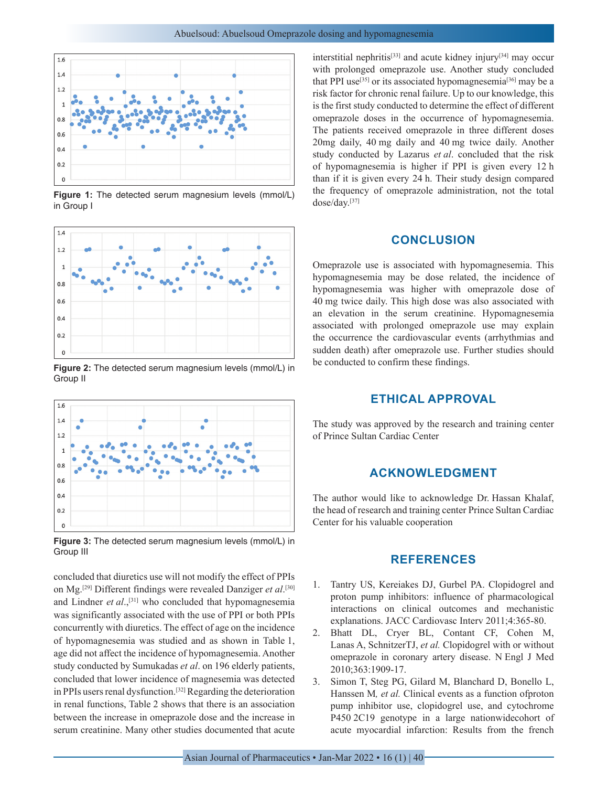

**Figure 1:** The detected serum magnesium levels (mmol/L) in Group I



**Figure 2:** The detected serum magnesium levels (mmol/L) in Group II



**Figure 3:** The detected serum magnesium levels (mmol/L) in Group III

concluded that diuretics use will not modify the effect of PPIs on Mg.[29] Different findings were revealed Danziger *et al*. [30] and Lindner *et al*.,[31] who concluded that hypomagnesemia was significantly associated with the use of PPI or both PPIs concurrently with diuretics. The effect of age on the incidence of hypomagnesemia was studied and as shown in Table 1, age did not affect the incidence of hypomagnesemia. Another study conducted by Sumukadas *et al*. on 196 elderly patients, concluded that lower incidence of magnesemia was detected in PPIs users renal dysfunction.<sup>[32]</sup> Regarding the deterioration in renal functions, Table 2 shows that there is an association between the increase in omeprazole dose and the increase in serum creatinine. Many other studies documented that acute interstitial nephritis[33] and acute kidney injury[34] may occur with prolonged omeprazole use. Another study concluded that PPI use<sup>[35]</sup> or its associated hypomagnesemia<sup>[36]</sup> may be a risk factor for chronic renal failure. Up to our knowledge, this is the first study conducted to determine the effect of different omeprazole doses in the occurrence of hypomagnesemia. The patients received omeprazole in three different doses 20mg daily, 40 mg daily and 40 mg twice daily. Another study conducted by Lazarus *et al*. concluded that the risk of hypomagnesemia is higher if PPI is given every 12 h than if it is given every 24 h. Their study design compared the frequency of omeprazole administration, not the total dose/day.[37]

## **CONCLUSION**

Omeprazole use is associated with hypomagnesemia. This hypomagnesemia may be dose related, the incidence of hypomagnesemia was higher with omeprazole dose of 40 mg twice daily. This high dose was also associated with an elevation in the serum creatinine. Hypomagnesemia associated with prolonged omeprazole use may explain the occurrence the cardiovascular events (arrhythmias and sudden death) after omeprazole use. Further studies should be conducted to confirm these findings.

# **ETHICAL APPROVAL**

The study was approved by the research and training center of Prince Sultan Cardiac Center

## **ACKNOWLEDGMENT**

The author would like to acknowledge Dr. Hassan Khalaf, the head of research and training center Prince Sultan Cardiac Center for his valuable cooperation

#### **REFERENCES**

- 1. Tantry US, Kereiakes DJ, Gurbel PA. Clopidogrel and proton pump inhibitors: influence of pharmacological interactions on clinical outcomes and mechanistic explanations. JACC Cardiovasc Interv 2011;4:365-80.
- 2. Bhatt DL, Cryer BL, Contant CF, Cohen M, Lanas A, SchnitzerTJ, *et al.* Clopidogrel with or without omeprazole in coronary artery disease. N Engl J Med 2010;363:1909-17.
- 3. Simon T, Steg PG, Gilard M, Blanchard D, Bonello L, Hanssen M*, et al.* Clinical events as a function ofproton pump inhibitor use, clopidogrel use, and cytochrome P450 2C19 genotype in a large nationwidecohort of acute myocardial infarction: Results from the french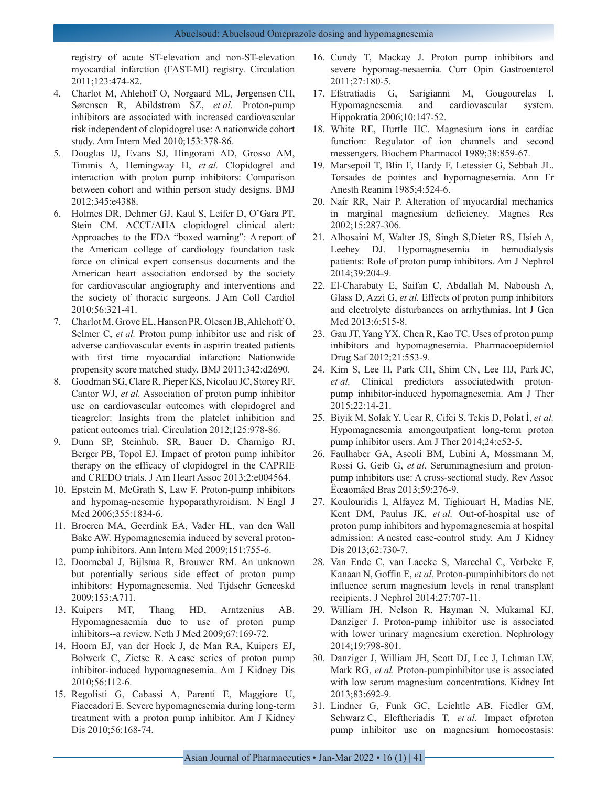registry of acute ST-elevation and non-ST-elevation myocardial infarction (FAST-MI) registry. Circulation 2011;123:474-82.

- 4. Charlot M, Ahlehoff O, Norgaard ML, Jørgensen CH, Sørensen R, Abildstrøm SZ, *et al.* Proton-pump inhibitors are associated with increased cardiovascular risk independent of clopidogrel use: A nationwide cohort study. Ann Intern Med 2010;153:378-86.
- 5. Douglas IJ, Evans SJ, Hingorani AD, Grosso AM, Timmis A, Hemingway H, *et al.* Clopidogrel and interaction with proton pump inhibitors: Comparison between cohort and within person study designs. BMJ 2012;345:e4388.
- 6. Holmes DR, Dehmer GJ, Kaul S, Leifer D, O'Gara PT, Stein CM. ACCF/AHA clopidogrel clinical alert: Approaches to the FDA "boxed warning": A report of the American college of cardiology foundation task force on clinical expert consensus documents and the American heart association endorsed by the society for cardiovascular angiography and interventions and the society of thoracic surgeons. J Am Coll Cardiol 2010;56:321-41.
- 7. Charlot M, Grove EL, Hansen PR, Olesen JB, Ahlehoff O, Selmer C, *et al.* Proton pump inhibitor use and risk of adverse cardiovascular events in aspirin treated patients with first time myocardial infarction: Nationwide propensity score matched study. BMJ 2011;342:d2690.
- 8. Goodman SG, Clare R, Pieper KS, Nicolau JC, Storey RF, Cantor WJ, *et al.* Association of proton pump inhibitor use on cardiovascular outcomes with clopidogrel and ticagrelor: Insights from the platelet inhibition and patient outcomes trial. Circulation 2012;125:978-86.
- 9. Dunn SP, Steinhub, SR, Bauer D, Charnigo RJ, Berger PB, Topol EJ. Impact of proton pump inhibitor therapy on the efficacy of clopidogrel in the CAPRIE and CREDO trials. J Am Heart Assoc 2013;2:e004564.
- 10. Epstein M, McGrath S, Law F. Proton-pump inhibitors and hypomag-nesemic hypoparathyroidism. N Engl J Med 2006;355:1834-6.
- 11. Broeren MA, Geerdink EA, Vader HL, van den Wall Bake AW. Hypomagnesemia induced by several protonpump inhibitors. Ann Intern Med 2009;151:755-6.
- 12. Doornebal J, Bijlsma R, Brouwer RM. An unknown but potentially serious side effect of proton pump inhibitors: Hypomagnesemia. Ned Tijdschr Geneeskd 2009;153:A711.
- 13. Kuipers MT, Thang HD, Arntzenius AB. Hypomagnesaemia due to use of proton pump inhibitors--a review. Neth J Med 2009;67:169-72.
- 14. Hoorn EJ, van der Hoek J, de Man RA, Kuipers EJ, Bolwerk C, Zietse R. A case series of proton pump inhibitor-induced hypomagnesemia. Am J Kidney Dis 2010;56:112-6.
- 15. Regolisti G, Cabassi A, Parenti E, Maggiore U, Fiaccadori E. Severe hypomagnesemia during long-term treatment with a proton pump inhibitor. Am J Kidney Dis 2010;56:168-74.
- 16. Cundy T, Mackay J. Proton pump inhibitors and severe hypomag-nesaemia. Curr Opin Gastroenterol 2011;27:180-5.
- 17. Efstratiadis G, Sarigianni M, Gougourelas I. Hypomagnesemia and cardiovascular system. Hippokratia 2006;10:147-52.
- 18. White RE, Hurtle HC. Magnesium ions in cardiac function: Regulator of ion channels and second messengers. Biochem Pharmacol 1989;38:859-67.
- 19. Marsepoil T, Blin F, Hardy F, Letessier G, Sebbah JL. Torsades de pointes and hypomagnesemia. Ann Fr Anesth Reanim 1985;4:524-6.
- 20. Nair RR, Nair P. Alteration of myocardial mechanics in marginal magnesium deficiency. Magnes Res 2002;15:287-306.
- 21. Alhosaini M, Walter JS, Singh S,Dieter RS, Hsieh A, Leehey DJ. Hypomagnesemia in hemodialysis patients: Role of proton pump inhibitors. Am J Nephrol 2014;39:204-9.
- 22. El-Charabaty E, Saifan C, Abdallah M, Naboush A, Glass D, Azzi G, *et al.* Effects of proton pump inhibitors and electrolyte disturbances on arrhythmias. Int J Gen Med 2013;6:515-8.
- 23. Gau JT, Yang YX, Chen R, Kao TC. Uses of proton pump inhibitors and hypomagnesemia. Pharmacoepidemiol Drug Saf 2012;21:553-9.
- 24. Kim S, Lee H, Park CH, Shim CN, Lee HJ, Park JC, *et al.* Clinical predictors associatedwith protonpump inhibitor-induced hypomagnesemia. Am J Ther 2015;22:14-21.
- 25. Biyik M, Solak Y, Ucar R, Cifci S, Tekis D, Polat İ, *et al.* Hypomagnesemia amongoutpatient long-term proton pump inhibitor users. Am J Ther 2014;24:e52-5.
- 26. Faulhaber GA, Ascoli BM, Lubini A, Mossmann M, Rossi G, Geib G, *et al*. Serummagnesium and protonpump inhibitors use: A cross-sectional study. Rev Assoc Ëœaomâed Bras 2013;59:276-9.
- 27. Koulouridis I, Alfayez M, Tighiouart H, Madias NE, Kent DM, Paulus JK, *et al.* Out-of-hospital use of proton pump inhibitors and hypomagnesemia at hospital admission: A nested case-control study. Am J Kidney Dis 2013;62:730-7.
- 28. Van Ende C, van Laecke S, Marechal C, Verbeke F, Kanaan N, Goffin E, *et al.* Proton-pumpinhibitors do not influence serum magnesium levels in renal transplant recipients. J Nephrol 2014;27:707-11.
- 29. William JH, Nelson R, Hayman N, Mukamal KJ, Danziger J. Proton-pump inhibitor use is associated with lower urinary magnesium excretion. Nephrology 2014;19:798-801.
- 30. Danziger J, William JH, Scott DJ, Lee J, Lehman LW, Mark RG, *et al.* Proton-pumpinhibitor use is associated with low serum magnesium concentrations. Kidney Int 2013;83:692-9.
- 31. Lindner G, Funk GC, Leichtle AB, Fiedler GM, Schwarz C, Eleftheriadis T, *et al.* Impact ofproton pump inhibitor use on magnesium homoeostasis: